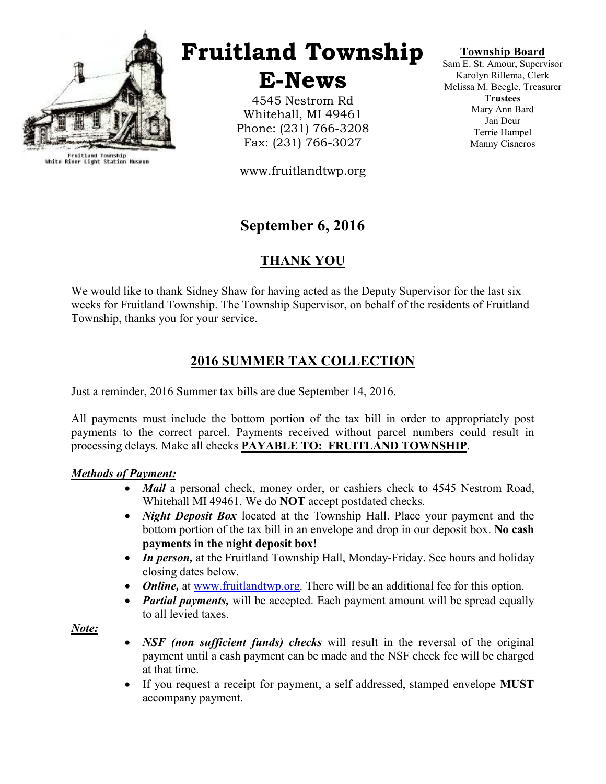

Fruitland Township<br>White River Light Station Museum

## Fruitland Township

E-News

4545 Nestrom Rd Whitehall, MI 49461 Phone: (231) 766-3208 Fax: (231) 766-3027

www.fruitlandtwp.org

## September 6, 2016

### THANK YOU

We would like to thank Sidney Shaw for having acted as the Deputy Supervisor for the last six weeks for Fruitland Township. The Township Supervisor, on behalf of the residents of Fruitland Township, thanks you for your service.

## 2016 SUMMER TAX COLLECTION

Just a reminder, 2016 Summer tax bills are due September 14, 2016.

All payments must include the bottom portion of the tax bill in order to appropriately post payments to the correct parcel. Payments received without parcel numbers could result in processing delays. Make all checks PAYABLE TO: FRUITLAND TOWNSHIP.

#### Methods of Payment:

- *Mail* a personal check, money order, or cashiers check to 4545 Nestrom Road, Whitehall MI 49461. We do NOT accept postdated checks.
- *Night Deposit Box* located at the Township Hall. Place your payment and the bottom portion of the tax bill in an envelope and drop in our deposit box. No cash payments in the night deposit box!
- In person, at the Fruitland Township Hall, Monday-Friday. See hours and holiday closing dates below.
- **Online, at www.fruitlandtwp.org.** There will be an additional fee for this option.
- *Partial payments*, will be accepted. Each payment amount will be spread equally to all levied taxes.

#### Note:

- NSF (non sufficient funds) checks will result in the reversal of the original payment until a cash payment can be made and the NSF check fee will be charged at that time.
- If you request a receipt for payment, a self addressed, stamped envelope **MUST** accompany payment.

#### Township Board

Sam E. St. Amour, Supervisor Karolyn Rillema, Clerk Melissa M. Beegle, Treasurer **Trustees** Mary Ann Bard Jan Deur Terrie Hampel Manny Cisneros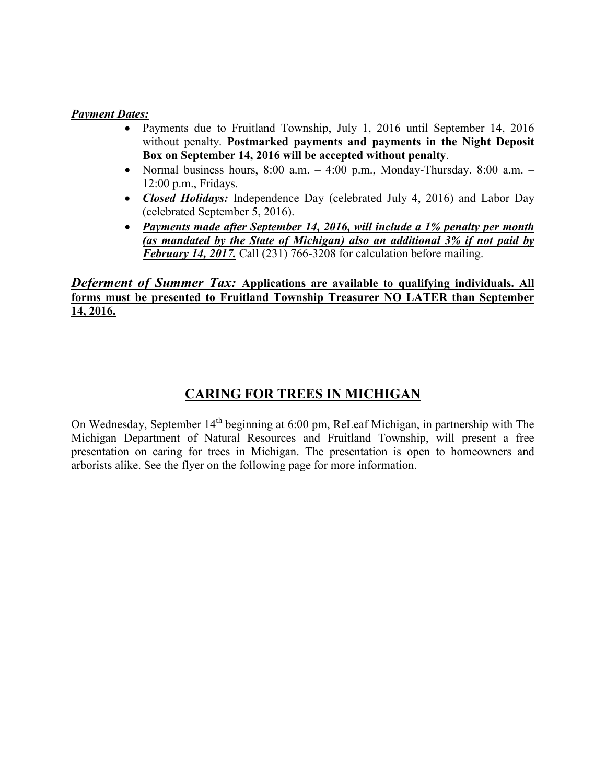#### **Payment Dates:**

- Payments due to Fruitland Township, July 1, 2016 until September 14, 2016 without penalty. Postmarked payments and payments in the Night Deposit Box on September 14, 2016 will be accepted without penalty.
- Normal business hours,  $8:00$  a.m.  $-4:00$  p.m., Monday-Thursday,  $8:00$  a.m.  $-$ 12:00 p.m., Fridays.
- *Closed Holidays:* Independence Day (celebrated July 4, 2016) and Labor Day (celebrated September 5, 2016).
- Payments made after September 14, 2016, will include a 1% penalty per month (as mandated by the State of Michigan) also an additional  $3\%$  if not paid by February 14, 2017. Call (231) 766-3208 for calculation before mailing.

#### Deferment of Summer Tax: Applications are available to qualifying individuals. All forms must be presented to Fruitland Township Treasurer NO LATER than September 14, 2016.

## CARING FOR TREES IN MICHIGAN

On Wednesday, September  $14<sup>th</sup>$  beginning at 6:00 pm, ReLeaf Michigan, in partnership with The Michigan Department of Natural Resources and Fruitland Township, will present a free presentation on caring for trees in Michigan. The presentation is open to homeowners and arborists alike. See the flyer on the following page for more information.